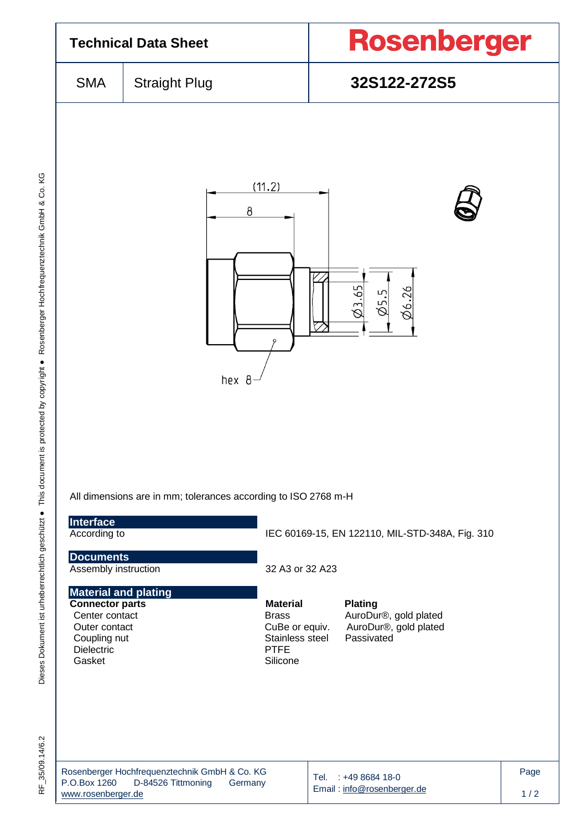| <b>Technical Data Sheet</b>                                                                                                             |                                                                                        |                                                                                                 | Rosenberger                                                                    |             |  |
|-----------------------------------------------------------------------------------------------------------------------------------------|----------------------------------------------------------------------------------------|-------------------------------------------------------------------------------------------------|--------------------------------------------------------------------------------|-------------|--|
| <b>SMA</b>                                                                                                                              | <b>Straight Plug</b>                                                                   |                                                                                                 | 32S122-272S5                                                                   |             |  |
|                                                                                                                                         | (11.2)<br>8<br>hex 8<br>All dimensions are in mm; tolerances according to ISO 2768 m-H |                                                                                                 | 65<br>Ø6.26                                                                    |             |  |
| Interface<br>According to                                                                                                               |                                                                                        |                                                                                                 | IEC 60169-15, EN 122110, MIL-STD-348A, Fig. 310                                |             |  |
| <b>Documents</b><br>Assembly instruction                                                                                                |                                                                                        | 32 A3 or 32 A23                                                                                 |                                                                                |             |  |
| <b>Material and plating</b><br><b>Connector parts</b><br>Center contact<br>Outer contact<br>Coupling nut<br><b>Dielectric</b><br>Gasket |                                                                                        | <b>Material</b><br><b>Brass</b><br>CuBe or equiv.<br>Stainless steel<br><b>PTFE</b><br>Silicone | <b>Plating</b><br>AuroDur®, gold plated<br>AuroDur®, gold plated<br>Passivated |             |  |
| P.O.Box 1260<br>www.rosenberger.de                                                                                                      | Rosenberger Hochfrequenztechnik GmbH & Co. KG<br>D-84526 Tittmoning<br>Germany         |                                                                                                 | Tel. : +49 8684 18-0<br>Email: info@rosenberger.de                             | Page<br>1/2 |  |